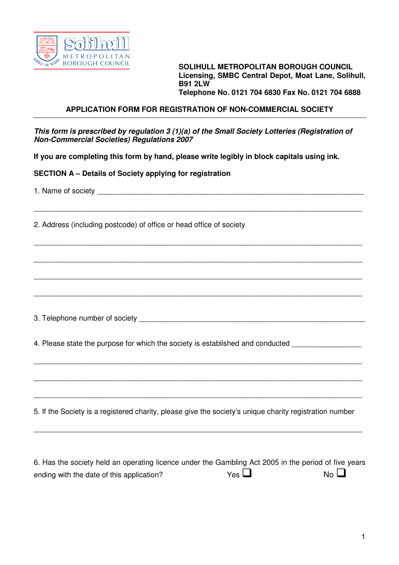

**BOROUGH COUNCIL SOLIHULL METROPOLITAN BOROUGH COUNCIL Licensing, SMBC Central Depot, Moat Lane, Solihull, B91 2LW Telephone No. 0121 704 6830 Fax No. 0121 704 6888** 

## **APPLICATION FORM FOR REGISTRATION OF NON-COMMERCIAL SOCIETY**

**This form is prescribed by regulation 3 (1)(a) of the Small Society Lotteries (Registration of Non-Commercial Societies) Regulations 2007**

\_\_\_\_\_\_\_\_\_\_\_\_\_\_\_\_\_\_\_\_\_\_\_\_\_\_\_\_\_\_\_\_\_\_\_\_\_\_\_\_\_\_\_\_\_\_\_\_\_\_\_\_\_\_\_\_\_\_\_\_\_\_\_\_\_\_\_\_\_\_\_\_\_\_\_\_\_\_\_\_

\_\_\_\_\_\_\_\_\_\_\_\_\_\_\_\_\_\_\_\_\_\_\_\_\_\_\_\_\_\_\_\_\_\_\_\_\_\_\_\_\_\_\_\_\_\_\_\_\_\_\_\_\_\_\_\_\_\_\_\_\_\_\_\_\_\_\_\_\_\_\_\_\_\_\_\_\_\_\_\_

\_\_\_\_\_\_\_\_\_\_\_\_\_\_\_\_\_\_\_\_\_\_\_\_\_\_\_\_\_\_\_\_\_\_\_\_\_\_\_\_\_\_\_\_\_\_\_\_\_\_\_\_\_\_\_\_\_\_\_\_\_\_\_\_\_\_\_\_\_\_\_\_\_\_\_\_\_\_\_\_

\_\_\_\_\_\_\_\_\_\_\_\_\_\_\_\_\_\_\_\_\_\_\_\_\_\_\_\_\_\_\_\_\_\_\_\_\_\_\_\_\_\_\_\_\_\_\_\_\_\_\_\_\_\_\_\_\_\_\_\_\_\_\_\_\_\_\_\_\_\_\_\_\_\_\_\_\_\_\_\_

\_\_\_\_\_\_\_\_\_\_\_\_\_\_\_\_\_\_\_\_\_\_\_\_\_\_\_\_\_\_\_\_\_\_\_\_\_\_\_\_\_\_\_\_\_\_\_\_\_\_\_\_\_\_\_\_\_\_\_\_\_\_\_\_\_\_\_\_\_\_\_\_\_\_\_\_\_\_\_\_

\_\_\_\_\_\_\_\_\_\_\_\_\_\_\_\_\_\_\_\_\_\_\_\_\_\_\_\_\_\_\_\_\_\_\_\_\_\_\_\_\_\_\_\_\_\_\_\_\_\_\_\_\_\_\_\_\_\_\_\_\_\_\_\_\_\_\_\_\_\_\_\_\_\_\_\_\_\_\_\_

\_\_\_\_\_\_\_\_\_\_\_\_\_\_\_\_\_\_\_\_\_\_\_\_\_\_\_\_\_\_\_\_\_\_\_\_\_\_\_\_\_\_\_\_\_\_\_\_\_\_\_\_\_\_\_\_\_\_\_\_\_\_\_\_\_\_\_\_\_\_\_\_\_\_\_\_\_\_\_\_

\_\_\_\_\_\_\_\_\_\_\_\_\_\_\_\_\_\_\_\_\_\_\_\_\_\_\_\_\_\_\_\_\_\_\_\_\_\_\_\_\_\_\_\_\_\_\_\_\_\_\_\_\_\_\_\_\_\_\_\_\_\_\_\_\_\_\_\_\_\_\_\_\_\_\_\_\_\_\_\_

\_\_\_\_\_\_\_\_\_\_\_\_\_\_\_\_\_\_\_\_\_\_\_\_\_\_\_\_\_\_\_\_\_\_\_\_\_\_\_\_\_\_\_\_\_\_\_\_\_\_\_\_\_\_\_\_\_\_\_\_\_\_\_\_\_\_\_\_\_\_\_\_\_\_\_\_\_\_\_\_

**If you are completing this form by hand, please write legibly in block capitals using ink.** 

**SECTION A – Details of Society applying for registration** 

1. Name of society

2. Address (including postcode) of office or head office of society

3. Telephone number of society \_\_\_\_\_\_\_\_\_\_\_\_\_\_\_\_\_\_\_\_\_\_\_\_\_\_\_\_\_\_\_\_\_\_\_\_\_\_\_\_\_\_\_\_\_\_\_\_\_\_\_\_\_\_\_

4. Please state the purpose for which the society is established and conducted

5. If the Society is a registered charity, please give the society's unique charity registration number

| 6. Has the society held an operating licence under the Gambling Act 2005 in the period of five years |            |                |
|------------------------------------------------------------------------------------------------------|------------|----------------|
| ending with the date of this application?                                                            | $Yes \Box$ | N <sub>0</sub> |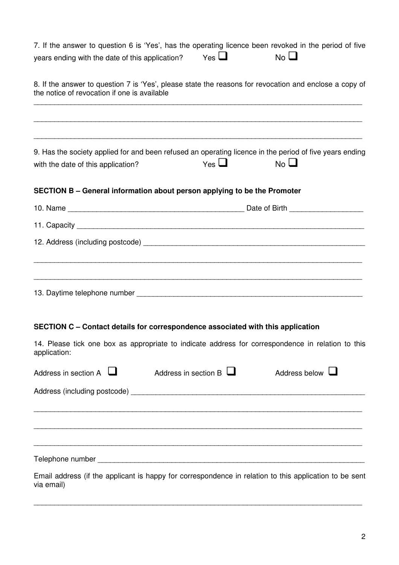| 7. If the answer to question 6 is 'Yes', has the operating licence been revoked in the period of five<br>years ending with the date of this application? | Yes $\Box$                  | $No$ $\Box$          |  |  |  |
|----------------------------------------------------------------------------------------------------------------------------------------------------------|-----------------------------|----------------------|--|--|--|
| 8. If the answer to question 7 is 'Yes', please state the reasons for revocation and enclose a copy of<br>the notice of revocation if one is available   |                             |                      |  |  |  |
|                                                                                                                                                          |                             |                      |  |  |  |
| 9. Has the society applied for and been refused an operating licence in the period of five years ending<br>with the date of this application?            | Yes $\Box$                  | $No$ $\Box$          |  |  |  |
| SECTION B - General information about person applying to be the Promoter                                                                                 |                             |                      |  |  |  |
|                                                                                                                                                          |                             |                      |  |  |  |
|                                                                                                                                                          |                             |                      |  |  |  |
|                                                                                                                                                          |                             |                      |  |  |  |
|                                                                                                                                                          |                             |                      |  |  |  |
| SECTION C - Contact details for correspondence associated with this application                                                                          |                             |                      |  |  |  |
| 14. Please tick one box as appropriate to indicate address for correspondence in relation to this<br>application:                                        |                             |                      |  |  |  |
| Address in section $A$                                                                                                                                   | Address in section $B \Box$ | Address below $\Box$ |  |  |  |
|                                                                                                                                                          |                             |                      |  |  |  |
|                                                                                                                                                          |                             |                      |  |  |  |
|                                                                                                                                                          |                             |                      |  |  |  |
| Email address (if the applicant is happy for correspondence in relation to this application to be sent<br>via email)                                     |                             |                      |  |  |  |

\_\_\_\_\_\_\_\_\_\_\_\_\_\_\_\_\_\_\_\_\_\_\_\_\_\_\_\_\_\_\_\_\_\_\_\_\_\_\_\_\_\_\_\_\_\_\_\_\_\_\_\_\_\_\_\_\_\_\_\_\_\_\_\_\_\_\_\_\_\_\_\_\_\_\_\_\_\_\_\_